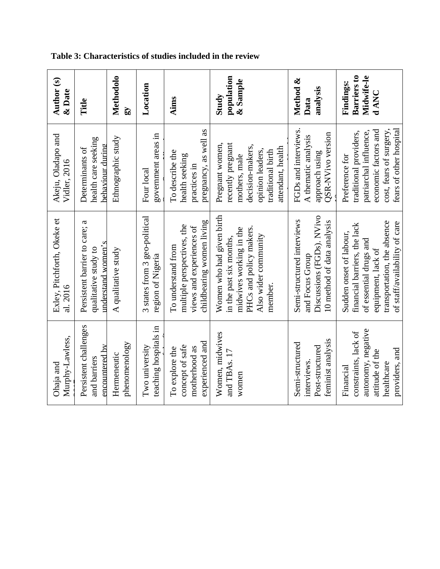| Ainns<br>pregnancy, as well as<br>To describe the<br>health seeking<br>practices in<br>childbearing women living<br>multiple perspectives, the<br>views and experiences of<br>To understand from<br>experienced and<br>concept of safe<br>motherhood as<br>To explore the | Barriers to<br>population<br>Midwife-le<br>Method &<br>& Sample<br>Findings:<br>analysis<br>d ANC<br>Study<br>Data | fears of other hospital<br>FGDs and interviews.<br>economic factors and<br>patriarchal influence,<br>cost, fears of surgery<br>traditional providers,<br>QSR-NVivo version<br>A thematic analysis<br>recently pregnant<br>Pregnant women,<br>decision-makers,<br>attendant, health<br>opinion leaders,<br>traditional birth<br>approach using<br>mothers, male<br>Preference for | Women who had given birth<br>Discussions (FGDs). NVivo<br>Semi-structured interviews<br>10 method of data analysis<br>transportation, the absence<br>of staff/availability of care<br>financial barriers, the lack<br>PHCs and policy makers.<br>midwives working in the<br>Sudden onset of labour,<br>Also wider community<br>in the past six months,<br>of essential drugs and<br>equipment, lack of<br>and Focus Group<br>member. | autonomy, negative<br>constraints, lack of<br>Women, midwives<br>feminist analysis<br>Semi-structured<br>Post-structured<br>providers, and<br>attitude of the<br>and TBAs. 17<br>interviews.<br>healthcare<br>Financial<br>women |
|---------------------------------------------------------------------------------------------------------------------------------------------------------------------------------------------------------------------------------------------------------------------------|--------------------------------------------------------------------------------------------------------------------|----------------------------------------------------------------------------------------------------------------------------------------------------------------------------------------------------------------------------------------------------------------------------------------------------------------------------------------------------------------------------------|--------------------------------------------------------------------------------------------------------------------------------------------------------------------------------------------------------------------------------------------------------------------------------------------------------------------------------------------------------------------------------------------------------------------------------------|----------------------------------------------------------------------------------------------------------------------------------------------------------------------------------------------------------------------------------|
|                                                                                                                                                                                                                                                                           | Location                                                                                                           | government areas in<br>Four local                                                                                                                                                                                                                                                                                                                                                | 3 states from 3 geo-political<br>region of Nigeria                                                                                                                                                                                                                                                                                                                                                                                   | teaching hospitals in<br>Two university                                                                                                                                                                                          |
|                                                                                                                                                                                                                                                                           | Methodolo<br>$\Omega$                                                                                              | Ethnographic study                                                                                                                                                                                                                                                                                                                                                               | A qualitative study                                                                                                                                                                                                                                                                                                                                                                                                                  | phenomenology<br>Hermeneutic                                                                                                                                                                                                     |
|                                                                                                                                                                                                                                                                           | Title                                                                                                              | health care seeking<br>Determinants of                                                                                                                                                                                                                                                                                                                                           | Persistent barrier to care; a<br>qualitative study to                                                                                                                                                                                                                                                                                                                                                                                | Persistent challenges<br>and barriers                                                                                                                                                                                            |
| behaviour during<br>understand women's<br>encountered by                                                                                                                                                                                                                  | Author <sub>(s)</sub><br>$\&$ Date                                                                                 | Akeju, Oladapo and<br>Vidler, 2016                                                                                                                                                                                                                                                                                                                                               | Exley, Pitchforth, Okeke et<br>al. 2016                                                                                                                                                                                                                                                                                                                                                                                              | Murphy-Lawless,<br>Ohaja and                                                                                                                                                                                                     |

## **Table 3: Characteristics of studies included in the review**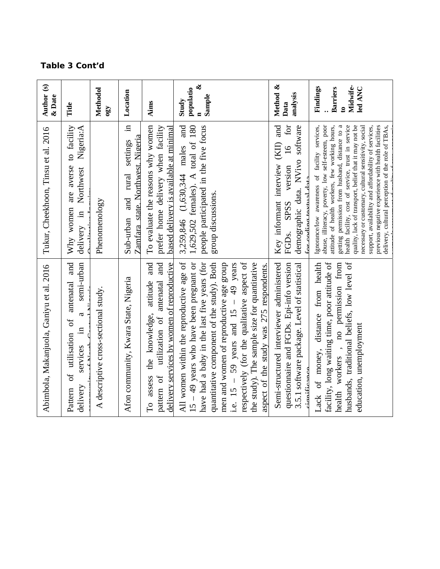## **Table 3 Cont'd**

| Author (s)<br>& Date                     | Title                                                                                                          | Methodol<br>$\Omega$ <sup>0</sup>    | Location                                                                         | Aims                                                                                                                              | $\infty$<br>populatio<br>Sample<br>Study                                                                                                                                                                                                                                                                                                                                                                             | Method &<br>analysis<br>Data                                                                                                                                   | Midwife-<br>Findings<br>led ANC<br><b>Barriers</b><br>$\mathbf{c}$                                                                                                                                                                                                                                                                                                                                                                                                                                                                                 |
|------------------------------------------|----------------------------------------------------------------------------------------------------------------|--------------------------------------|----------------------------------------------------------------------------------|-----------------------------------------------------------------------------------------------------------------------------------|----------------------------------------------------------------------------------------------------------------------------------------------------------------------------------------------------------------------------------------------------------------------------------------------------------------------------------------------------------------------------------------------------------------------|----------------------------------------------------------------------------------------------------------------------------------------------------------------|----------------------------------------------------------------------------------------------------------------------------------------------------------------------------------------------------------------------------------------------------------------------------------------------------------------------------------------------------------------------------------------------------------------------------------------------------------------------------------------------------------------------------------------------------|
| Tukur, Cheekhoon, Tinsu et al. 2016      | are averse to facility<br>Northwest Nigeria:A<br>Why women<br>delivery in                                      | Phenomenology                        | Ξ.<br>Zamfara state. Northwest. Nigeria<br>settings<br>rural<br>and<br>Sub-urban | To evaluate the reasons why women<br>prefer home delivery when facility<br>based delivery is available at minimal                 | and<br>1,629,502 females). A total of 180<br>people participated in the five focus<br>3,259,846 $(1,630,344$ males<br>group discussions.                                                                                                                                                                                                                                                                             | and<br>demographic data. NVivo software<br>$\ddot{a}$<br>(KII)<br>$\frac{16}{1}$<br>Key informant interview<br>FGDs. SPSS version<br>for coding taxtual data   | getting permission from husband, distance to a<br>health facility, cost of service, trust in service<br>quality, lack of transport, belief that it may not be<br>previous negative experience with health facilities<br>Ignorance/low awareness of facility services,<br>abuse, illiteracy, poverty, low self-esteem, poor<br>attitude of health workers, few working hours,<br>necessary or customary, cultural sensitivity, social<br>support, availability and affordability of services,<br>delivery, cultural perception of the role of TBAs, |
| Abimbola, Makanjuola, Ganiyu et al. 2016 | and<br>semi-urban<br>of utilisation of antenatal<br>$\mathfrak{a}$<br>$\Xi$<br>services<br>delivery<br>Pattern | A descriptive cross-sectional study. | Afon community, Kwara State, Nigeria                                             | To assess the knowledge, attitude and<br>utilization of antenatal and<br>delivery services by women of reproductive<br>pattern of | All women within the reproductive age of<br>$15 - 49$ years who have been pregnant or<br>have had a baby in the last five years (for<br>respectively (for the qualitative aspect of<br>quantitative component of the study). Both<br>men and women of reproductive age group<br>the study). The sample size for quantitative<br>i.e. $15 - 59$ years and $15 - 49$ years<br>aspect of the study was 275 respondents. | Semi-structured interviewer administered<br>questionnaire and FGDs. Epi-info version<br>3.5.1 software package. Level of statistical<br>$\dot{\rm a}$ mifionno | facility, long waiting time, poor attitude of<br>Lack of money, distance from health<br>husbands, traditional beliefs, low level of<br>health workers , no permission from<br>education, unemployment                                                                                                                                                                                                                                                                                                                                              |